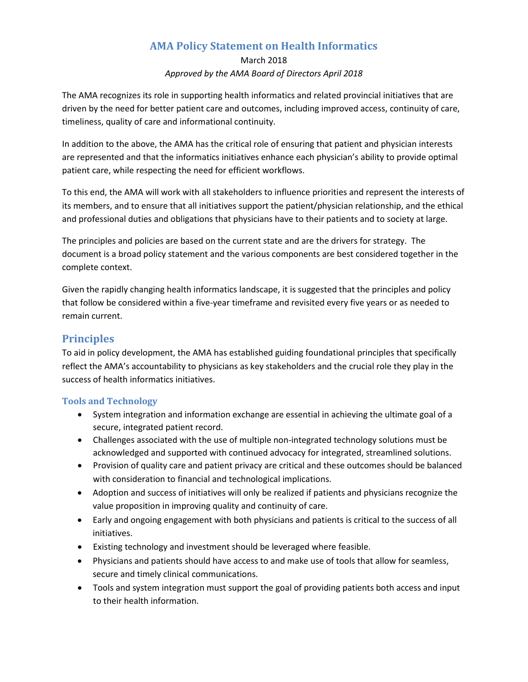# **AMA Policy Statement on Health Informatics**

### March 2018 *Approved by the AMA Board of Directors April 2018*

The AMA recognizes its role in supporting health informatics and related provincial initiatives that are driven by the need for better patient care and outcomes, including improved access, continuity of care, timeliness, quality of care and informational continuity.

In addition to the above, the AMA has the critical role of ensuring that patient and physician interests are represented and that the informatics initiatives enhance each physician's ability to provide optimal patient care, while respecting the need for efficient workflows.

To this end, the AMA will work with all stakeholders to influence priorities and represent the interests of its members, and to ensure that all initiatives support the patient/physician relationship, and the ethical and professional duties and obligations that physicians have to their patients and to society at large.

The principles and policies are based on the current state and are the drivers for strategy. The document is a broad policy statement and the various components are best considered together in the complete context.

Given the rapidly changing health informatics landscape, it is suggested that the principles and policy that follow be considered within a five-year timeframe and revisited every five years or as needed to remain current.

## **Principles**

To aid in policy development, the AMA has established guiding foundational principles that specifically reflect the AMA's accountability to physicians as key stakeholders and the crucial role they play in the success of health informatics initiatives.

### **Tools and Technology**

- System integration and information exchange are essential in achieving the ultimate goal of a secure, integrated patient record.
- Challenges associated with the use of multiple non-integrated technology solutions must be acknowledged and supported with continued advocacy for integrated, streamlined solutions.
- Provision of quality care and patient privacy are critical and these outcomes should be balanced with consideration to financial and technological implications.
- Adoption and success of initiatives will only be realized if patients and physicians recognize the value proposition in improving quality and continuity of care.
- Early and ongoing engagement with both physicians and patients is critical to the success of all initiatives.
- Existing technology and investment should be leveraged where feasible.
- Physicians and patients should have access to and make use of tools that allow for seamless, secure and timely clinical communications.
- Tools and system integration must support the goal of providing patients both access and input to their health information.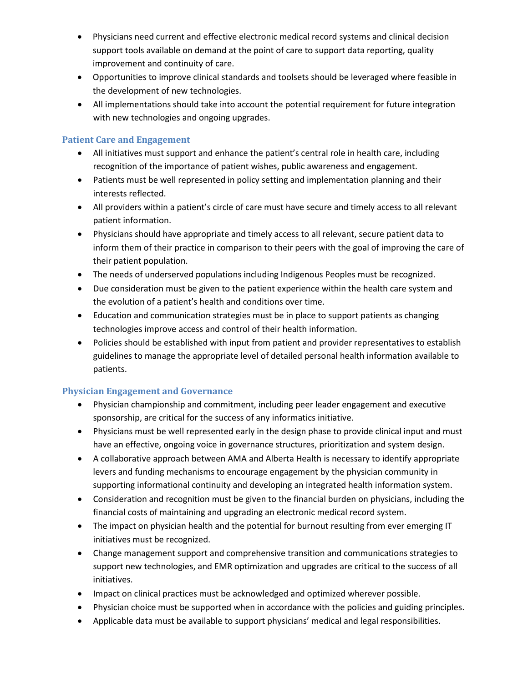- Physicians need current and effective electronic medical record systems and clinical decision support tools available on demand at the point of care to support data reporting, quality improvement and continuity of care.
- Opportunities to improve clinical standards and toolsets should be leveraged where feasible in the development of new technologies.
- All implementations should take into account the potential requirement for future integration with new technologies and ongoing upgrades.

### **Patient Care and Engagement**

- All initiatives must support and enhance the patient's central role in health care, including recognition of the importance of patient wishes, public awareness and engagement.
- Patients must be well represented in policy setting and implementation planning and their interests reflected.
- All providers within a patient's circle of care must have secure and timely access to all relevant patient information.
- Physicians should have appropriate and timely access to all relevant, secure patient data to inform them of their practice in comparison to their peers with the goal of improving the care of their patient population.
- The needs of underserved populations including Indigenous Peoples must be recognized.
- Due consideration must be given to the patient experience within the health care system and the evolution of a patient's health and conditions over time.
- Education and communication strategies must be in place to support patients as changing technologies improve access and control of their health information.
- Policies should be established with input from patient and provider representatives to establish guidelines to manage the appropriate level of detailed personal health information available to patients.

### **Physician Engagement and Governance**

- Physician championship and commitment, including peer leader engagement and executive sponsorship, are critical for the success of any informatics initiative.
- Physicians must be well represented early in the design phase to provide clinical input and must have an effective, ongoing voice in governance structures, prioritization and system design.
- A collaborative approach between AMA and Alberta Health is necessary to identify appropriate levers and funding mechanisms to encourage engagement by the physician community in supporting informational continuity and developing an integrated health information system.
- Consideration and recognition must be given to the financial burden on physicians, including the financial costs of maintaining and upgrading an electronic medical record system.
- The impact on physician health and the potential for burnout resulting from ever emerging IT initiatives must be recognized.
- Change management support and comprehensive transition and communications strategies to support new technologies, and EMR optimization and upgrades are critical to the success of all initiatives.
- Impact on clinical practices must be acknowledged and optimized wherever possible.
- Physician choice must be supported when in accordance with the policies and guiding principles.
- Applicable data must be available to support physicians' medical and legal responsibilities.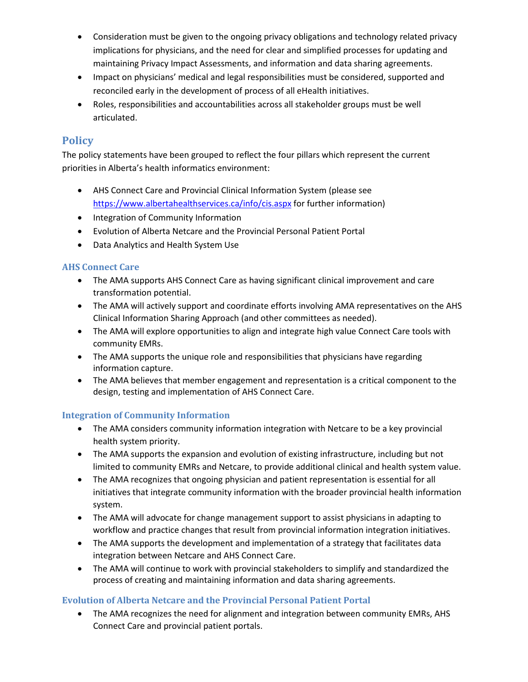- Consideration must be given to the ongoing privacy obligations and technology related privacy implications for physicians, and the need for clear and simplified processes for updating and maintaining Privacy Impact Assessments, and information and data sharing agreements.
- Impact on physicians' medical and legal responsibilities must be considered, supported and reconciled early in the development of process of all eHealth initiatives.
- Roles, responsibilities and accountabilities across all stakeholder groups must be well articulated.

## **Policy**

The policy statements have been grouped to reflect the four pillars which represent the current priorities in Alberta's health informatics environment:

- AHS Connect Care and Provincial Clinical Information System (please see <https://www.albertahealthservices.ca/info/cis.aspx> for further information)
- Integration of Community Information
- Evolution of Alberta Netcare and the Provincial Personal Patient Portal
- Data Analytics and Health System Use

### **AHS Connect Care**

- The AMA supports AHS Connect Care as having significant clinical improvement and care transformation potential.
- The AMA will actively support and coordinate efforts involving AMA representatives on the AHS Clinical Information Sharing Approach (and other committees as needed).
- The AMA will explore opportunities to align and integrate high value Connect Care tools with community EMRs.
- The AMA supports the unique role and responsibilities that physicians have regarding information capture.
- The AMA believes that member engagement and representation is a critical component to the design, testing and implementation of AHS Connect Care.

### **Integration of Community Information**

- The AMA considers community information integration with Netcare to be a key provincial health system priority.
- The AMA supports the expansion and evolution of existing infrastructure, including but not limited to community EMRs and Netcare, to provide additional clinical and health system value.
- The AMA recognizes that ongoing physician and patient representation is essential for all initiatives that integrate community information with the broader provincial health information system.
- The AMA will advocate for change management support to assist physicians in adapting to workflow and practice changes that result from provincial information integration initiatives.
- The AMA supports the development and implementation of a strategy that facilitates data integration between Netcare and AHS Connect Care.
- The AMA will continue to work with provincial stakeholders to simplify and standardized the process of creating and maintaining information and data sharing agreements.

### **Evolution of Alberta Netcare and the Provincial Personal Patient Portal**

• The AMA recognizes the need for alignment and integration between community EMRs, AHS Connect Care and provincial patient portals.